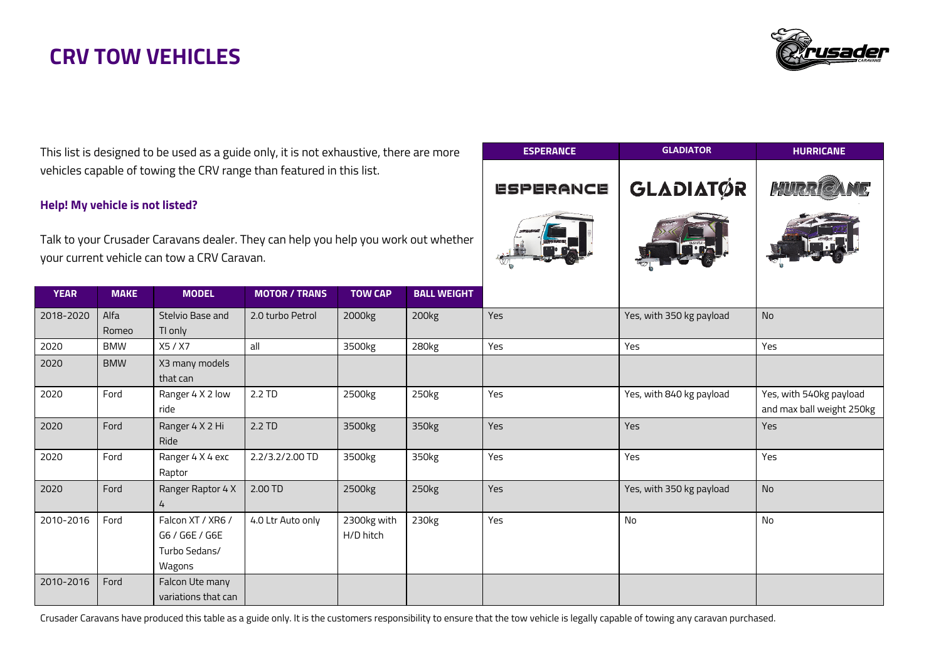

**ESPERANCE GLADIATOR HURRICANE**

**GLADIATØR** 

**ESPERANCE** 

This list is designed to be used as a guide only, it is not exhaustive, there are more vehicles capable of towing the CRV range than featured in this list.

#### **Help! My vehicle is not listed?**

Talk to your Crusader Caravans dealer. They can help you help you work out whether your current vehicle can tow a CRV Caravan.

|             |               |                                                                |                      |                          |                    | <b>BO</b> | $\sim$ 6                 |                                                      |
|-------------|---------------|----------------------------------------------------------------|----------------------|--------------------------|--------------------|-----------|--------------------------|------------------------------------------------------|
| <b>YEAR</b> | <b>MAKE</b>   | <b>MODEL</b>                                                   | <b>MOTOR / TRANS</b> | <b>TOW CAP</b>           | <b>BALL WEIGHT</b> |           |                          |                                                      |
| 2018-2020   | Alfa<br>Romeo | Stelvio Base and<br>TI only                                    | 2.0 turbo Petrol     | 2000kg                   | 200kg              | Yes       | Yes, with 350 kg payload | <b>No</b>                                            |
| 2020        | <b>BMW</b>    | X5 / X7                                                        | all                  | 3500kg                   | 280kg              | Yes       | Yes                      | Yes                                                  |
| 2020        | <b>BMW</b>    | X3 many models<br>that can                                     |                      |                          |                    |           |                          |                                                      |
| 2020        | Ford          | Ranger 4 X 2 low<br>ride                                       | 2.2 TD               | 2500kg                   | 250kg              | Yes       | Yes, with 840 kg payload | Yes, with 540kg payload<br>and max ball weight 250kg |
| 2020        | Ford          | Ranger 4 X 2 Hi<br>Ride                                        | 2.2 TD               | 3500kg                   | 350kg              | Yes       | Yes                      | Yes                                                  |
| 2020        | Ford          | Ranger 4 X 4 exc<br>Raptor                                     | 2.2/3.2/2.00 TD      | 3500kg                   | 350kg              | Yes       | Yes                      | Yes                                                  |
| 2020        | Ford          | Ranger Raptor 4 X<br>4                                         | 2.00 TD              | 2500kg                   | 250 <sub>kg</sub>  | Yes       | Yes, with 350 kg payload | <b>No</b>                                            |
| 2010-2016   | Ford          | Falcon XT / XR6 /<br>G6 / G6E / G6E<br>Turbo Sedans/<br>Wagons | 4.0 Ltr Auto only    | 2300kg with<br>H/D hitch | 230kg              | Yes       | No                       | No                                                   |
| 2010-2016   | Ford          | Falcon Ute many<br>variations that can                         |                      |                          |                    |           |                          |                                                      |

Crusader Caravans have produced this table as a guide only. It is the customers responsibility to ensure that the tow vehicle is legally capable of towing any caravan purchased.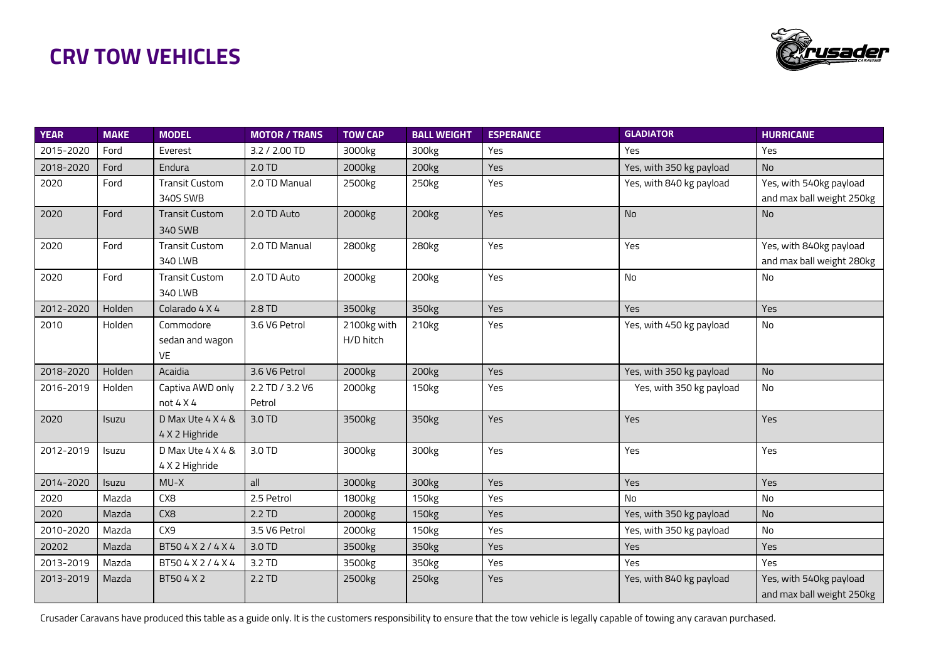

| <b>YEAR</b> | <b>MAKE</b>  | <b>MODEL</b>          | <b>MOTOR / TRANS</b> | <b>TOW CAP</b> | <b>BALL WEIGHT</b> | <b>ESPERANCE</b> | <b>GLADIATOR</b>         | <b>HURRICANE</b>          |
|-------------|--------------|-----------------------|----------------------|----------------|--------------------|------------------|--------------------------|---------------------------|
| 2015-2020   | Ford         | Everest               | 3.2 / 2.00 TD        | 3000kg         | 300kg              | Yes              | Yes                      | Yes                       |
| 2018-2020   | Ford         | Endura                | 2.0 TD               | 2000kg         | 200kg              | Yes              | Yes, with 350 kg payload | <b>No</b>                 |
| 2020        | Ford         | <b>Transit Custom</b> | 2.0 TD Manual        | 2500kg         | 250kg              | Yes              | Yes, with 840 kg payload | Yes, with 540kg payload   |
|             |              | 340S SWB              |                      |                |                    |                  |                          | and max ball weight 250kg |
| 2020        | Ford         | <b>Transit Custom</b> | 2.0 TD Auto          | 2000kg         | 200kg              | Yes              | <b>No</b>                | <b>No</b>                 |
|             |              | 340 SWB               |                      |                |                    |                  |                          |                           |
| 2020        | Ford         | <b>Transit Custom</b> | 2.0 TD Manual        | 2800kg         | 280kg              | Yes              | Yes                      | Yes, with 840kg payload   |
|             |              | 340 LWB               |                      |                |                    |                  |                          | and max ball weight 280kg |
| 2020        | Ford         | <b>Transit Custom</b> | 2.0 TD Auto          | 2000kg         | 200kg              | Yes              | No                       | No                        |
|             |              | 340 LWB               |                      |                |                    |                  |                          |                           |
| 2012-2020   | Holden       | Colarado 4 X 4        | 2.8 TD               | 3500kg         | 350kg              | Yes              | Yes                      | Yes                       |
| 2010        | Holden       | Commodore             | 3.6 V6 Petrol        | 2100kg with    | 210 <sub>kg</sub>  | Yes              | Yes, with 450 kg payload | No                        |
|             |              | sedan and wagon       |                      | H/D hitch      |                    |                  |                          |                           |
|             |              | <b>VE</b>             |                      |                |                    |                  |                          |                           |
| 2018-2020   | Holden       | Acaidia               | 3.6 V6 Petrol        | 2000kg         | 200kg              | Yes              | Yes, with 350 kg payload | No                        |
| 2016-2019   | Holden       | Captiva AWD only      | 2.2 TD / 3.2 V6      | 2000kg         | 150 <sub>kg</sub>  | Yes              | Yes, with 350 kg payload | No                        |
|             |              | not 4 X4              | Petrol               |                |                    |                  |                          |                           |
| 2020        | Isuzu        | D Max Ute 4 X 4 &     | 3.0 TD               | 3500kg         | 350kg              | Yes              | Yes                      | Yes                       |
|             |              | 4 X 2 Highride        |                      |                |                    |                  |                          |                           |
| 2012-2019   | Isuzu        | D Max Ute 4 X 4 &     | 3.0 TD               | 3000kg         | 300kg              | Yes              | Yes                      | Yes                       |
|             |              | 4 X 2 Highride        |                      |                |                    |                  |                          |                           |
| 2014-2020   | <b>Isuzu</b> | $MU-X$                | all                  | 3000kg         | 300kg              | <b>Yes</b>       | <b>Yes</b>               | Yes                       |
| 2020        | Mazda        | CX <sub>8</sub>       | 2.5 Petrol           | 1800kg         | 150kg              | Yes              | No                       | No                        |
| 2020        | Mazda        | CX <sub>8</sub>       | 2.2 TD               | 2000kg         | 150 <sub>kg</sub>  | Yes              | Yes, with 350 kg payload | No                        |
| 2010-2020   | Mazda        | CX9                   | 3.5 V6 Petrol        | 2000kg         | 150 <sub>kg</sub>  | Yes              | Yes, with 350 kg payload | No                        |
| 20202       | Mazda        | BT504X2/4X4           | 3.0 TD               | 3500kg         | 350kg              | Yes              | Yes                      | Yes                       |
| 2013-2019   | Mazda        | BT504X2/4X4           | 3.2 TD               | 3500kg         | 350kg              | Yes              | Yes                      | Yes                       |
| 2013-2019   | Mazda        | BT504X2               | 2.2 TD               | 2500kg         | 250kg              | Yes              | Yes, with 840 kg payload | Yes, with 540kg payload   |
|             |              |                       |                      |                |                    |                  |                          | and max ball weight 250kg |

Crusader Caravans have produced this table as a guide only. It is the customers responsibility to ensure that the tow vehicle is legally capable of towing any caravan purchased.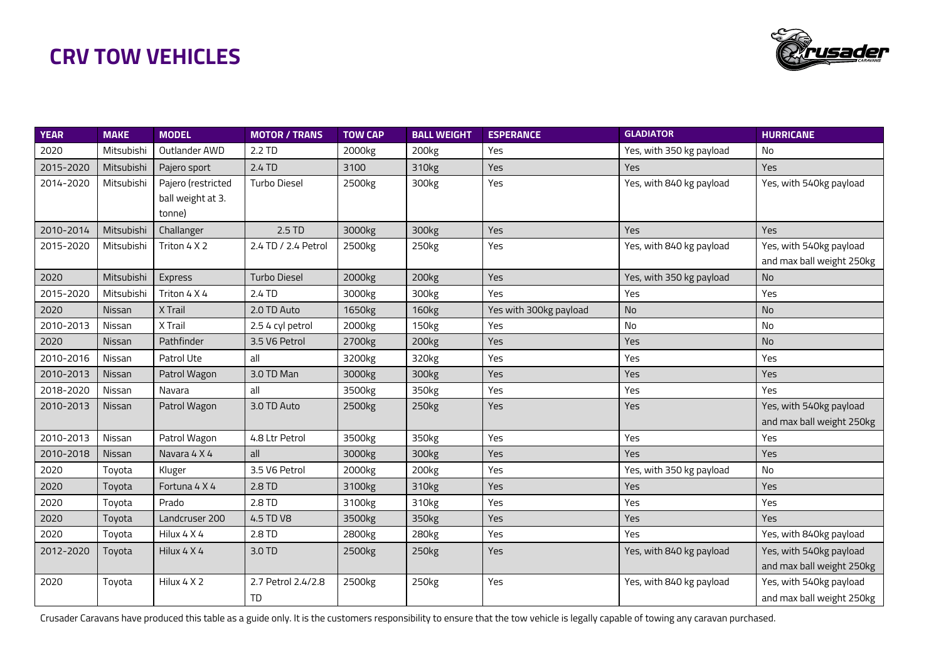

| <b>YEAR</b> | <b>MAKE</b>   | <b>MODEL</b>       | <b>MOTOR / TRANS</b> | <b>TOW CAP</b>     | <b>BALL WEIGHT</b> | <b>ESPERANCE</b>       | <b>GLADIATOR</b>         | <b>HURRICANE</b>          |
|-------------|---------------|--------------------|----------------------|--------------------|--------------------|------------------------|--------------------------|---------------------------|
| 2020        | Mitsubishi    | Outlander AWD      | 2.2 TD               | 2000kg             | 200kg              | <b>Yes</b>             | Yes, with 350 kg payload | No                        |
| 2015-2020   | Mitsubishi    | Pajero sport       | 2.4 TD               | 3100               | 310 <sub>kg</sub>  | Yes                    | <b>Yes</b>               | Yes                       |
| 2014-2020   | Mitsubishi    | Pajero (restricted | <b>Turbo Diesel</b>  | 2500kg             | 300kg              | Yes                    | Yes, with 840 kg payload | Yes, with 540kg payload   |
|             |               | ball weight at 3.  |                      |                    |                    |                        |                          |                           |
|             |               | tonne)             |                      |                    |                    |                        |                          |                           |
| 2010-2014   | Mitsubishi    | Challanger         | 2.5 TD               | 3000kg             | 300kg              | Yes                    | Yes                      | Yes                       |
| 2015-2020   | Mitsubishi    | Triton 4 X 2       | 2.4 TD / 2.4 Petrol  | 2500kg             | 250kg              | Yes                    | Yes, with 840 kg payload | Yes, with 540kg payload   |
|             |               |                    |                      |                    |                    |                        |                          | and max ball weight 250kg |
| 2020        | Mitsubishi    | Express            | <b>Turbo Diesel</b>  | 2000kg             | 200kg              | <b>Yes</b>             | Yes, with 350 kg payload | No                        |
| 2015-2020   | Mitsubishi    | Triton 4 X 4       | 2.4 TD               | 3000kg             | 300kg              | Yes                    | Yes                      | Yes                       |
| 2020        | Nissan        | X Trail            | 2.0 TD Auto          | 1650kg             | 160 <sub>kg</sub>  | Yes with 300kg payload | No                       | No                        |
| 2010-2013   | Nissan        | X Trail            | 2.5 4 cyl petrol     | 2000kg             | 150 <sub>kg</sub>  | Yes                    | No                       | No                        |
| 2020        | Nissan        | Pathfinder         | 3.5 V6 Petrol        | 2700 <sub>kg</sub> | 200kg              | Yes                    | Yes                      | No                        |
| 2010-2016   | Nissan        | Patrol Ute         | all                  | 3200kg             | 320kg              | Yes                    | Yes                      | Yes                       |
| 2010-2013   | Nissan        | Patrol Wagon       | 3.0 TD Man           | 3000kg             | 300kg              | Yes                    | Yes                      | Yes                       |
| 2018-2020   | Nissan        | Navara             | all                  | 3500kg             | 350 <sub>kg</sub>  | Yes                    | Yes                      | Yes                       |
| 2010-2013   | Nissan        | Patrol Wagon       | 3.0 TD Auto          | 2500kg             | 250 <sub>kg</sub>  | <b>Yes</b>             | Yes                      | Yes, with 540kg payload   |
|             |               |                    |                      |                    |                    |                        |                          | and max ball weight 250kg |
| 2010-2013   | Nissan        | Patrol Wagon       | 4.8 Ltr Petrol       | 3500kg             | 350kg              | Yes                    | Yes                      | Yes                       |
| 2010-2018   | <b>Nissan</b> | Navara 4 X 4       | all                  | 3000kg             | 300kg              | <b>Yes</b>             | Yes                      | Yes                       |
| 2020        | Toyota        | Kluger             | 3.5 V6 Petrol        | 2000kg             | 200kg              | Yes                    | Yes, with 350 kg payload | No                        |
| 2020        | Toyota        | Fortuna 4 X 4      | 2.8 TD               | 3100kg             | 310 <sub>kg</sub>  | Yes                    | Yes                      | Yes                       |
| 2020        | Toyota        | Prado              | 2.8 TD               | 3100kg             | 310 <sub>kg</sub>  | Yes                    | Yes                      | Yes                       |
| 2020        | Toyota        | Landcruser 200     | 4.5 TD V8            | 3500kg             | 350 <sub>kg</sub>  | Yes                    | Yes                      | Yes                       |
| 2020        | Toyota        | Hilux 4 X 4        | 2.8 TD               | 2800kg             | 280 <sub>kg</sub>  | Yes                    | Yes                      | Yes, with 840kg payload   |
| 2012-2020   | Toyota        | Hilux 4 X 4        | 3.0 TD               | 2500kg             | 250kg              | Yes                    | Yes, with 840 kg payload | Yes, with 540kg payload   |
|             |               |                    |                      |                    |                    |                        |                          | and max ball weight 250kg |
| 2020        | Toyota        | Hilux 4 X 2        | 2.7 Petrol 2.4/2.8   | 2500kg             | 250kg              | Yes                    | Yes, with 840 kg payload | Yes, with 540kg payload   |
|             |               |                    | TD                   |                    |                    |                        |                          | and max ball weight 250kg |

Crusader Caravans have produced this table as a guide only. It is the customers responsibility to ensure that the tow vehicle is legally capable of towing any caravan purchased.